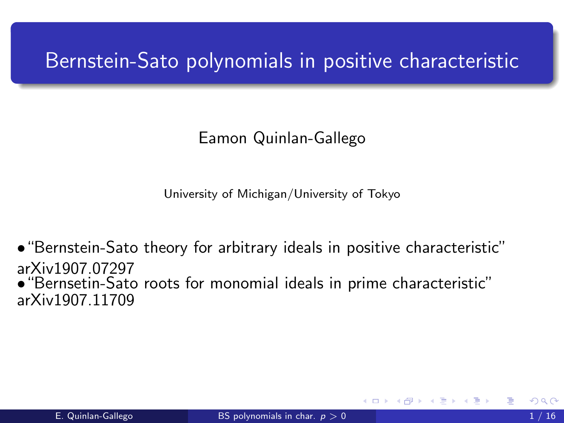# <span id="page-0-0"></span>Bernstein-Sato polynomials in positive characteristic

#### Eamon Quinlan-Gallego

University of Michigan/University of Tokyo

•"Bernstein-Sato theory for arbitrary ideals in positive characteristic" arXiv1907.07297

•"Bernsetin-Sato roots for monomial ideals in prime characteristic" arXiv1907.11709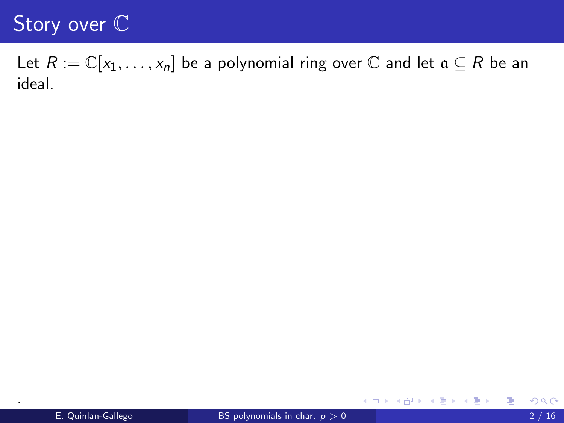Let  $R := \mathbb{C}[x_1, \ldots, x_n]$  be a polynomial ring over  $\mathbb C$  and let  $\mathfrak a \subseteq R$  be an ideal.

.

活

す (伊) メイモ トライモ トー

4 0 8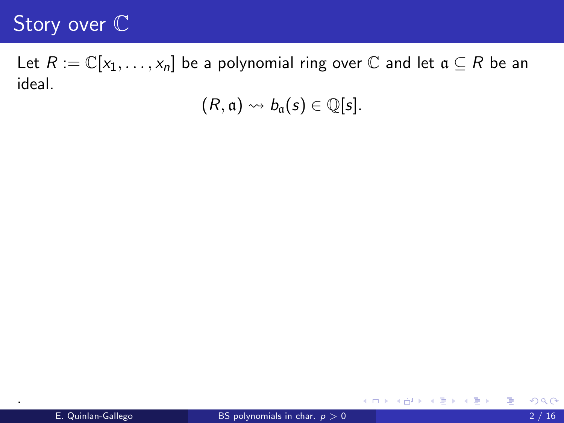Let  $R := \mathbb{C}[x_1, \ldots, x_n]$  be a polynomial ring over  $\mathbb C$  and let  $\mathfrak a \subseteq R$  be an ideal.

 $(R, \mathfrak{a}) \rightsquigarrow b_{\mathfrak{a}}(s) \in \mathbb{Q}[s].$ 

.

造

メ都 トメミトメミト

4 0 8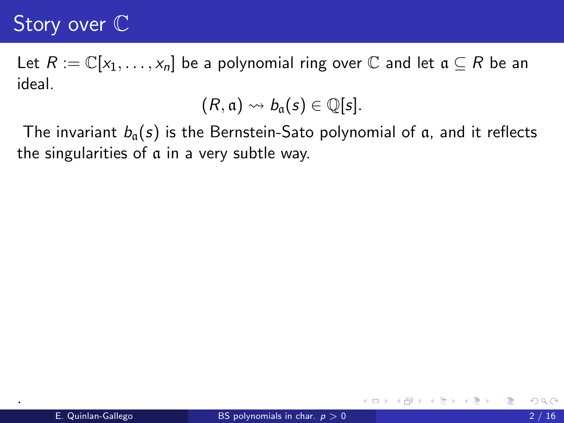Let  $R := \mathbb{C}[x_1, \ldots, x_n]$  be a polynomial ring over  $\mathbb C$  and let  $\mathfrak a \subseteq R$  be an ideal.

$$
(R, \mathfrak{a}) \rightsquigarrow b_{\mathfrak{a}}(s) \in \mathbb{Q}[s].
$$

The invariant  $b_a(s)$  is the Bernstein-Sato polynomial of a, and it reflects the singularities of a in a very subtle way.

.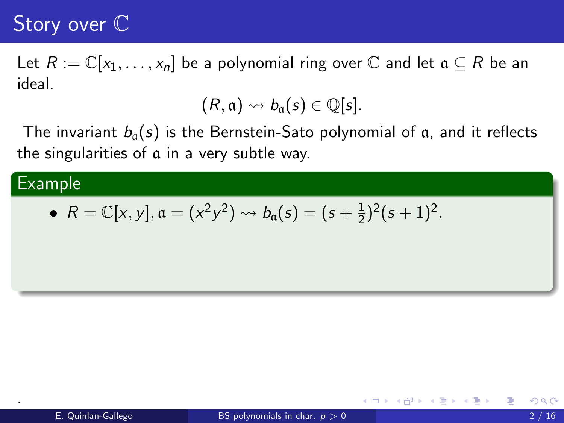Let  $R := \mathbb{C}[x_1, \ldots, x_n]$  be a polynomial ring over  $\mathbb C$  and let  $\mathfrak a \subseteq R$  be an ideal.

$$
(R, \mathfrak{a}) \rightsquigarrow b_{\mathfrak{a}}(s) \in \mathbb{Q}[s].
$$

The invariant  $b_a(s)$  is the Bernstein-Sato polynomial of a, and it reflects the singularities of a in a very subtle way.

#### **Example**

.

• 
$$
R = \mathbb{C}[x, y], \mathfrak{a} = (x^2y^2) \rightsquigarrow b_{\mathfrak{a}}(s) = (s + \frac{1}{2})^2(s + 1)^2.
$$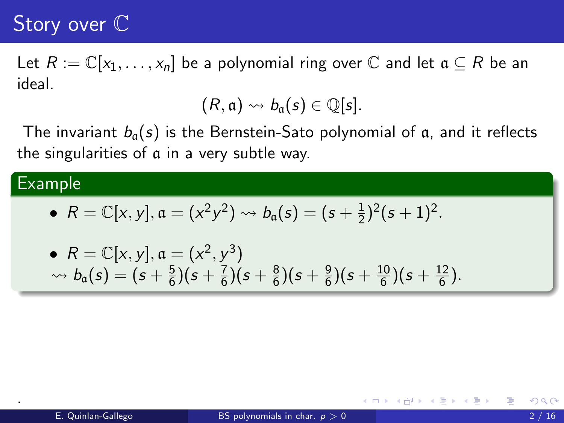Let  $R := \mathbb{C}[x_1, \ldots, x_n]$  be a polynomial ring over  $\mathbb C$  and let  $\mathfrak a \subseteq R$  be an ideal.

$$
(R,\mathfrak{a})\leadsto b_{\mathfrak{a}}(s)\in\mathbb{Q}[s].
$$

The invariant  $b_a(s)$  is the Bernstein-Sato polynomial of a, and it reflects the singularities of a in a very subtle way.

#### **Example**

.

• 
$$
R = \mathbb{C}[x, y], \mathfrak{a} = (x^2y^2) \rightsquigarrow b_{\mathfrak{a}}(s) = (s + \frac{1}{2})^2(s + 1)^2.
$$

• 
$$
R = \mathbb{C}[x, y], \mathfrak{a} = (x^2, y^3)
$$
  
\n $\rightarrow b_{\mathfrak{a}}(s) = (s + \frac{5}{6})(s + \frac{7}{6})(s + \frac{8}{6})(s + \frac{9}{6})(s + \frac{10}{6})(s + \frac{12}{6}).$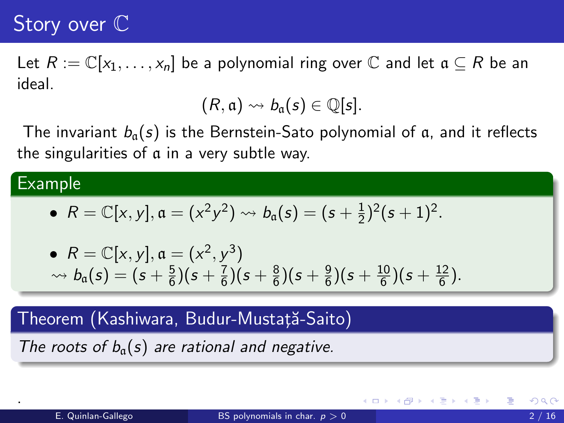Let  $R := \mathbb{C}[x_1, \ldots, x_n]$  be a polynomial ring over  $\mathbb C$  and let  $\mathfrak a \subseteq R$  be an ideal.

$$
(R,\mathfrak{a})\leadsto b_{\mathfrak{a}}(s)\in\mathbb{Q}[s].
$$

The invariant  $b_a(s)$  is the Bernstein-Sato polynomial of a, and it reflects the singularities of a in a very subtle way.

#### Example

.

• 
$$
R = \mathbb{C}[x, y], \mathfrak{a} = (x^2y^2) \rightsquigarrow b_{\mathfrak{a}}(s) = (s + \frac{1}{2})^2(s + 1)^2.
$$

• 
$$
R = \mathbb{C}[x, y], \mathfrak{a} = (x^2, y^3)
$$
  
\n $\rightarrow b_{\mathfrak{a}}(s) = (s + \frac{5}{6})(s + \frac{7}{6})(s + \frac{8}{6})(s + \frac{9}{6})(s + \frac{10}{6})(s + \frac{12}{6}).$ 

#### Theorem (Kashiwara, Budur-Mustață-Saito)

The roots of  $b<sub>a</sub>(s)$  are rational and negative.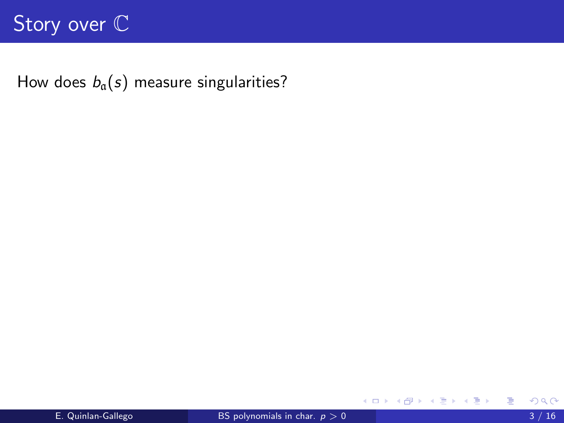How does  $b_a(s)$  measure singularities?

活

K ロ ⊁ K 個 ≯ K 君 ⊁ K 君 ≯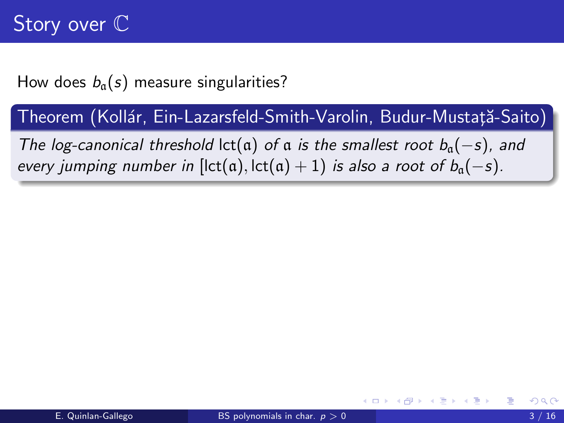How does  $b_{\alpha}(s)$  measure singularities?

Theorem (Kollár, Ein-Lazarsfeld-Smith-Varolin, Budur-Mustată-Saito)

The log-canonical threshold lct(a) of a is the smallest root  $b<sub>a</sub>(-s)$ , and every jumping number in  $[let(a), let(a) + 1]$  is also a root of  $b_a(-s)$ .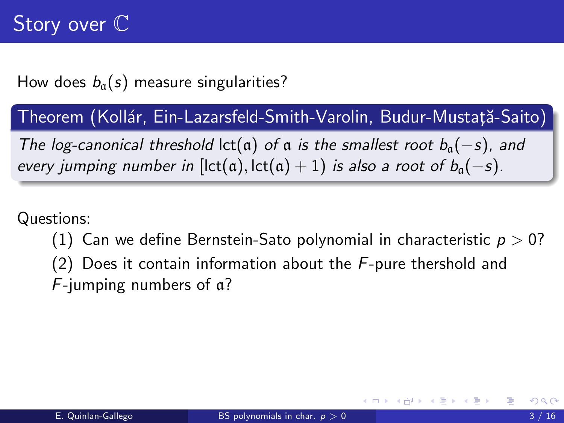How does  $b_a(s)$  measure singularities?

Theorem (Kollár, Ein-Lazarsfeld-Smith-Varolin, Budur-Mustată-Saito)

The log-canonical threshold lct(a) of a is the smallest root  $b<sub>a</sub>(-s)$ , and every jumping number in  $[let(a), let(a) + 1)$  is also a root of  $b_a(-s)$ .

Questions:

- (1) Can we define Bernstein-Sato polynomial in characteristic  $p > 0$ ?
- (2) Does it contain information about the  $F$ -pure thershold and F-jumping numbers of a?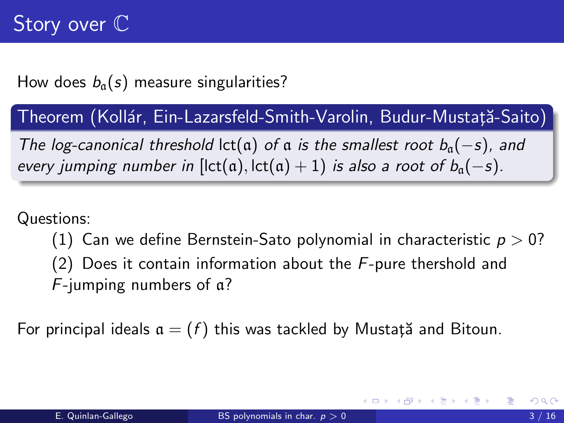How does  $b_{\alpha}(s)$  measure singularities?

Theorem (Kollár, Ein-Lazarsfeld-Smith-Varolin, Budur-Mustată-Saito)

The log-canonical threshold lct(a) of a is the smallest root  $b<sub>a</sub>(-s)$ , and every jumping number in  $[let(a), let(a) + 1)$  is also a root of  $b_a(-s)$ .

Questions:

- (1) Can we define Bernstein-Sato polynomial in characteristic  $p > 0$ ?
- (2) Does it contain information about the  $F$ -pure thershold and F-jumping numbers of a?

For principal ideals  $a = (f)$  this was tackled by Mustat<sub>i</sub> and Bitoun.

- ④ → → ミ → → ミ → →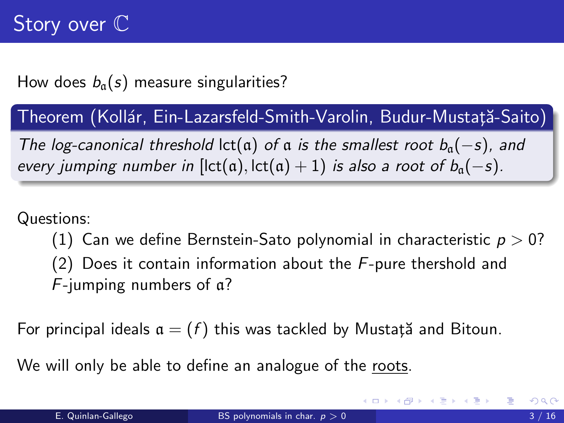How does  $b_a(s)$  measure singularities?

Theorem (Kollár, Ein-Lazarsfeld-Smith-Varolin, Budur-Mustată-Saito)

The log-canonical threshold lct(a) of a is the smallest root  $b_0(-s)$ , and every jumping number in  $[let(a), let(a) + 1)$  is also a root of  $b_a(-s)$ .

Questions:

(1) Can we define Bernstein-Sato polynomial in characteristic  $p > 0$ ?

(2) Does it contain information about the  $F$ -pure thershold and F-jumping numbers of a?

For principal ideals  $a = (f)$  this was tackled by Mustată and Bitoun.

We will only be able to define an analogue of the roots.

K ロ ▶ K 倒 ▶ K 듣 ▶ K 듣 ▶ ...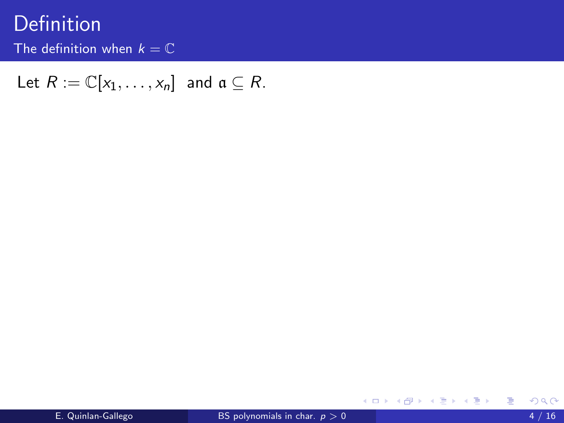# Definition

The definition when  $k = \mathbb{C}$ 

Let  $R := \mathbb{C}[x_1, \ldots, x_n]$  and  $\mathfrak{a} \subseteq R$ .

重

メロトメ 倒 トメ 君 トメ 君 トー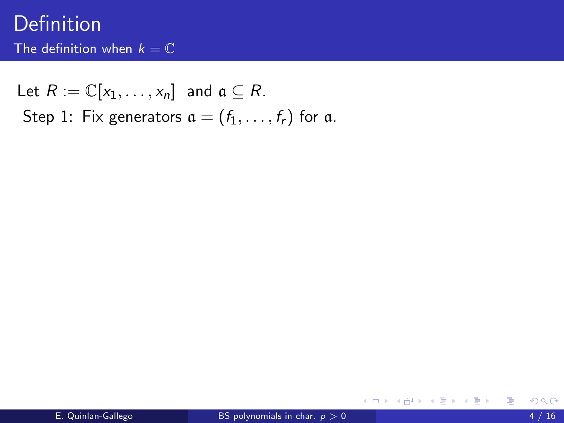Let  $R := \mathbb{C}[x_1, \ldots, x_n]$  and  $\mathfrak{a} \subseteq R$ . Step 1: Fix generators  $a = (f_1, \ldots, f_r)$  for a.

**∢ ロ ▶ - ィ <sub>ロ</sub> ▶** - ィ

경어 지금에

э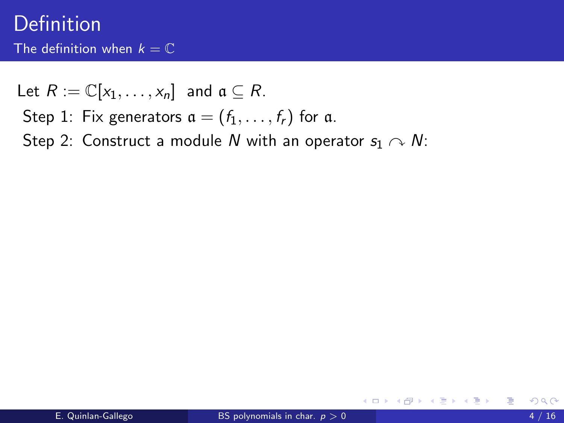Let  $R := \mathbb{C}[x_1, \ldots, x_n]$  and  $\mathfrak{a} \subseteq R$ .

- Step 1: Fix generators  $a = (f_1, \ldots, f_r)$  for a.
- Step 2: Construct a module N with an operator  $s_1 \sim N$ :

4 0 8

 $\rightarrow$   $\rightarrow$   $\rightarrow$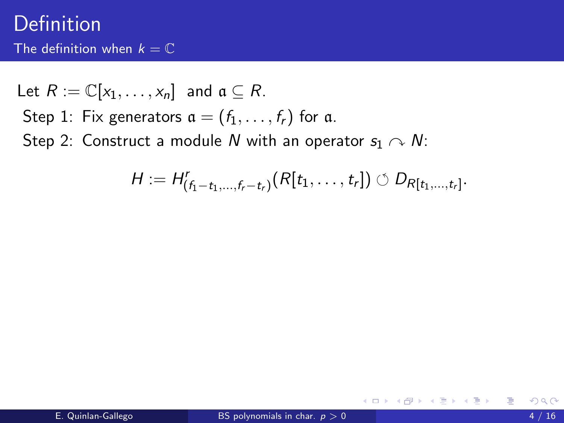Let 
$$
R := \mathbb{C}[x_1, ..., x_n]
$$
 and  $\mathfrak{a} \subseteq R$ .  
Step 1: Fix generators  $\mathfrak{a} = (f_1, ..., f_r)$  for  $\mathfrak{a}$ .  
Step 2: Construct a module *N* with an operator  $s_1 \curvearrowright N$ :

$$
H := H'_{(f_1-t_1,\ldots,f_r-t_r)}(R[t_1,\ldots,t_r]) \circlearrowleft D_{R[t_1,\ldots,t_r]}.
$$

重

メロト メ都 トメ ヨ トメ ヨト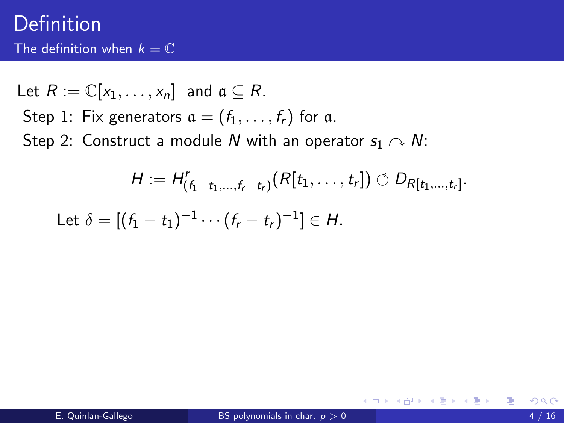Let 
$$
R := \mathbb{C}[x_1, ..., x_n]
$$
 and  $\mathfrak{a} \subseteq R$ .  
Step 1: Fix generators  $\mathfrak{a} = (f_1, ..., f_r)$  for  $\mathfrak{a}$ .  
Step 2: Construct a module *N* with an operator  $s_1 \curvearrowright N$ :

$$
H := H'_{(f_1-t_1,\ldots,f_r-t_r)}(R[t_1,\ldots,t_r]) \circlearrowleft D_{R[t_1,\ldots,t_r]}.
$$

Let 
$$
\delta = [(f_1 - t_1)^{-1} \cdots (f_r - t_r)^{-1}] \in H
$$
.

重

メロト メ都 トメ ヨ トメ ヨト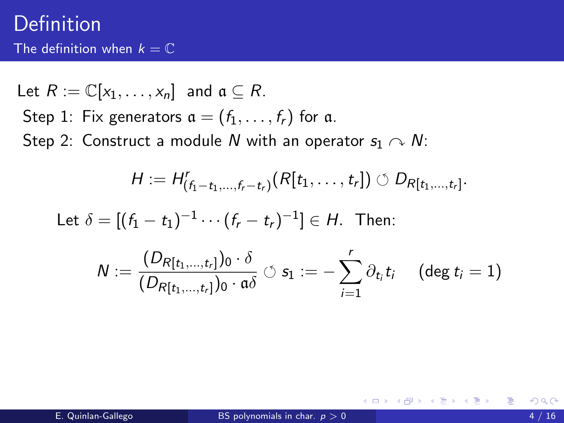Let 
$$
R := \mathbb{C}[x_1, \dots, x_n]
$$
 and  $\mathfrak{a} \subseteq R$ .  
Step 1: Fix generators  $\mathfrak{a} = (f_1, \dots, f_r)$  for a.  
Step 2: Construct a module *N* with an operator  $s_1 \sim N$ :

$$
H := H'_{(f_1-t_1,\ldots,f_r-t_r)}(R[t_1,\ldots,t_r]) \circlearrowleft D_{R[t_1,\ldots,t_r]}.
$$

Let  $\delta = [(f_1 - t_1)^{-1} \cdots (f_r - t_r)^{-1}] \in H$ . Then:

$$
N:=\frac{(D_{R[t_1,\ldots,t_r]})_0\cdot \delta}{(D_{R[t_1,\ldots,t_r]})_0\cdot \mathfrak{a} \delta}\circlearrowleft s_1:=-\sum_{i=1}^r \partial_{t_i}t_i \quad \text{ (deg }t_i=1\text{)}
$$

造

メロト メ部 トメ ヨ トメ ヨ トー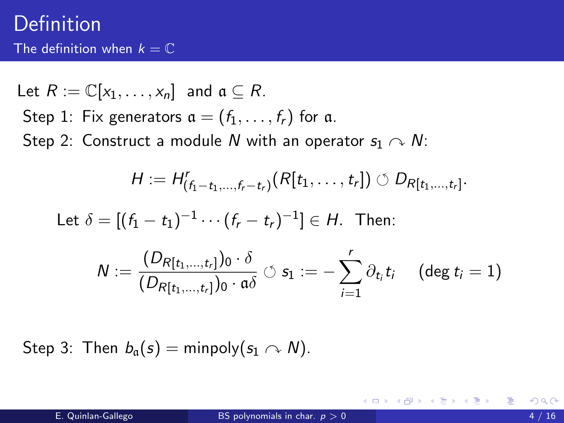Let 
$$
R := \mathbb{C}[x_1, ..., x_n]
$$
 and  $\mathfrak{a} \subseteq R$ .  
Step 1: Fix generators  $\mathfrak{a} = (f_1, ..., f_r)$  for  $\mathfrak{a}$ .  
Step 2: Construct a module *N* with an operator  $s_1 \sim N$ :

$$
H := H'_{(f_1-t_1,\ldots,f_r-t_r)}(R[t_1,\ldots,t_r]) \circlearrowleft D_{R[t_1,\ldots,t_r]}.
$$

Let 
$$
\delta = [(f_1 - t_1)^{-1} \cdots (f_r - t_r)^{-1}] \in H
$$
. Then:

$$
N:=\frac{(D_{R[t_1,\ldots,t_r]})_0\cdot \delta}{(D_{R[t_1,\ldots,t_r]})_0\cdot \mathfrak{a}\delta}\circlearrowleft s_1:=-\sum_{i=1}^r \partial_{t_i}t_i \quad \text{ (deg }t_i=1\text{)}
$$

Step 3: Then  $b_{\alpha}(s) =$  minpoly $(s_1 \curvearrowright N)$ .

活

メロメ メ御 メメ きょくきょ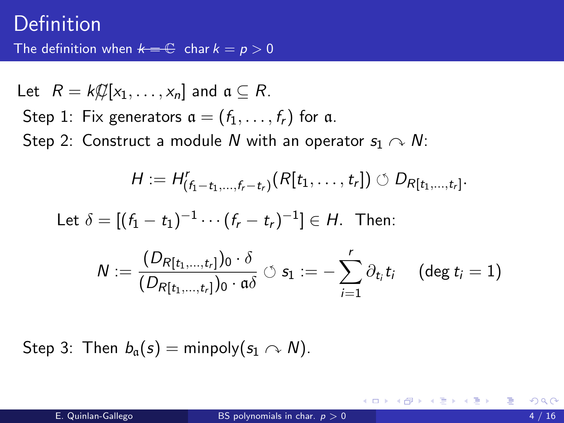Let 
$$
R = k\mathcal{L}[x_1, ..., x_n]
$$
 and  $\mathfrak{a} \subseteq R$ .  
Step 1: Fix generators  $\mathfrak{a} = (f_1, ..., f_r)$  for  $\mathfrak{a}$ .  
Step 2: Construct a module *N* with an operator  $s_1 \curvearrowright N$ :

$$
H := H'_{(f_1-t_1,\ldots,f_r-t_r)}(R[t_1,\ldots,t_r]) \circlearrowleft D_{R[t_1,\ldots,t_r]}.
$$

Let 
$$
\delta = [(f_1 - t_1)^{-1} \cdots (f_r - t_r)^{-1}] \in H
$$
. Then:

$$
N:=\frac{(D_{R[t_1,\ldots,t_r]})_0\cdot \delta}{(D_{R[t_1,\ldots,t_r]})_0\cdot \mathfrak{a}\delta}\circlearrowleft s_1:=-\sum_{i=1}^r \partial_{t_i}t_i \quad \text{ (deg }t_i=1\text{)}
$$

Step 3: Then  $b_a(s) =$  minpoly $(s_1 \cap N)$ .

活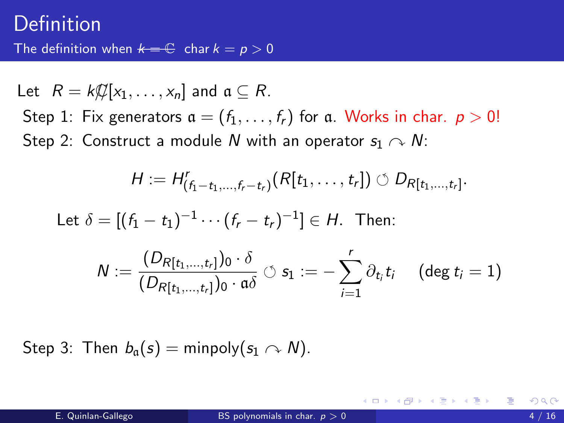Let  $R = k\mathcal{Q}[x_1, \ldots, x_n]$  and  $\mathfrak{a} \subseteq R$ . Step 1: Fix generators  $a = (f_1, \ldots, f_r)$  for a. Works in char.  $p > 0!$ Step 2: Construct a module N with an operator  $s_1 \sim N$ :

$$
H:=H'_{(f_1-t_1,\ldots,f_r-t_r)}(R[t_1,\ldots,t_r])\circlearrowleft D_{R[t_1,\ldots,t_r]}.
$$

Let  $\delta = [(f_1 - t_1)^{-1} \cdots (f_r - t_r)^{-1}] \in H$ . Then:

$$
N:=\frac{(D_{R[t_1,\ldots,t_r]})_0\cdot \delta}{(D_{R[t_1,\ldots,t_r]})_0\cdot \mathfrak{a}\delta}\circlearrowleft s_1:=-\sum_{i=1}^r \partial_{t_i}t_i \quad \ (\deg t_i=1)
$$

Step 3: Then  $b<sub>a</sub>(s) =$  minpoly( $s<sub>1</sub> \sim N$ ).

メ 何 ト メ ヨ ト メ ヨ ト ニ ヨ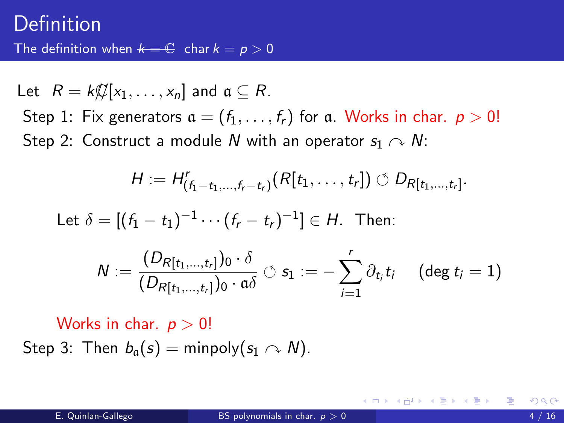Let  $R = k\mathcal{L}[x_1, \ldots, x_n]$  and  $\mathfrak{a} \subseteq R$ . Step 1: Fix generators  $a = (f_1, \ldots, f_r)$  for a. Works in char.  $p > 0!$ Step 2: Construct a module N with an operator  $s_1 \curvearrowright N$ :

$$
H := H'_{(f_1-t_1,\ldots,f_r-t_r)}(R[t_1,\ldots,t_r]) \circlearrowleft D_{R[t_1,\ldots,t_r]}.
$$

Let 
$$
\delta = [(f_1 - t_1)^{-1} \cdots (f_r - t_r)^{-1}] \in H
$$
. Then:

$$
N:=\frac{(D_{R[t_1,\ldots,t_r]})_0\cdot \delta}{(D_{R[t_1,\ldots,t_r]})_0\cdot \mathfrak{a} \delta}\circlearrowleft s_1:=-\sum_{i=1}^r \partial_{t_i}t_i \quad \text{ (deg }t_i=1\text{)}
$$

Works in char.  $p > 0!$ Step 3: Then  $b_{\alpha}(s) =$  minpoly $(s_1 \cap N)$ .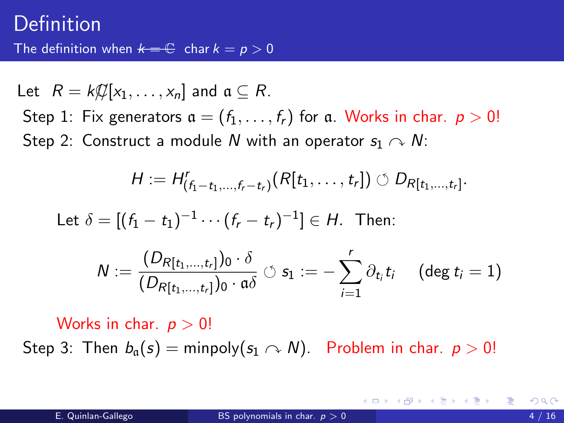Let  $R = k\mathcal{Q}[x_1, \ldots, x_n]$  and  $\mathfrak{a} \subseteq R$ . Step 1: Fix generators  $a = (f_1, \ldots, f_r)$  for a. Works in char.  $p > 0!$ Step 2: Construct a module N with an operator  $s_1 \curvearrowright N$ :

$$
H := H'_{(f_1-t_1,\ldots,f_r-t_r)}(R[t_1,\ldots,t_r]) \circlearrowleft D_{R[t_1,\ldots,t_r]}.
$$

Let  $\delta = [(f_1 - t_1)^{-1} \cdots (f_r - t_r)^{-1}] \in H$ . Then:

$$
N:=\frac{(D_{R[t_1,\ldots,t_r]})_0\cdot \delta}{(D_{R[t_1,\ldots,t_r]})_0\cdot \mathfrak{a} \delta}\circlearrowleft s_1:=-\sum_{i=1}^r \partial_{t_i} t_i \quad \text{ (deg } t_i=1\text{)}
$$

Works in char.  $p > 0!$ 

Step 3: Then  $b_0(s) = \text{minpoly}(s_1 \cap N)$ . Problem in char.  $p > 0!$ 

K ロンス 御 > ス ヨ > ス ヨ > 一 ヨ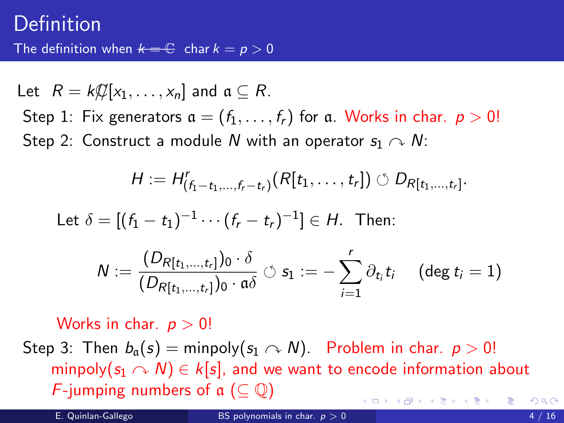Let  $R = k\mathcal{Q}[x_1, \ldots, x_n]$  and  $\mathfrak{a} \subseteq R$ . Step 1: Fix generators  $a = (f_1, \ldots, f_r)$  for a. Works in char.  $p > 0!$ Step 2: Construct a module N with an operator  $s_1 \curvearrowright N$ :

$$
H := H'_{(f_1-t_1,\ldots,f_r-t_r)}(R[t_1,\ldots,t_r]) \circlearrowleft D_{R[t_1,\ldots,t_r]}.
$$

Let  $\delta = [(f_1 - t_1)^{-1} \cdots (f_r - t_r)^{-1}] \in H$ . Then:

$$
N:=\frac{(D_{R[t_1,\ldots,t_r]})_0\cdot \delta}{(D_{R[t_1,\ldots,t_r]})_0\cdot \mathfrak{a}\delta}\circlearrowleft s_1:=-\sum_{i=1}^r \partial_{t_i}t_i \quad \text{ (deg }t_i=1\text{)}
$$

Works in char.  $p > 0!$ 

Step 3: Then  $b_{\alpha}(s) = \text{minpoly}(s_1 \cap N)$ . Problem in char.  $p > 0!$ minpoly( $s_1 \sim N$ )  $\in k[s]$ , and we want to encode information about F-jumping numbers of  $\mathfrak{a}$  ( $\subset \mathbb{O}$ )  $\overline{AB}$   $\rightarrow$   $\overline{AB}$   $\rightarrow$   $\overline{AB}$   $\rightarrow$  $QQQ$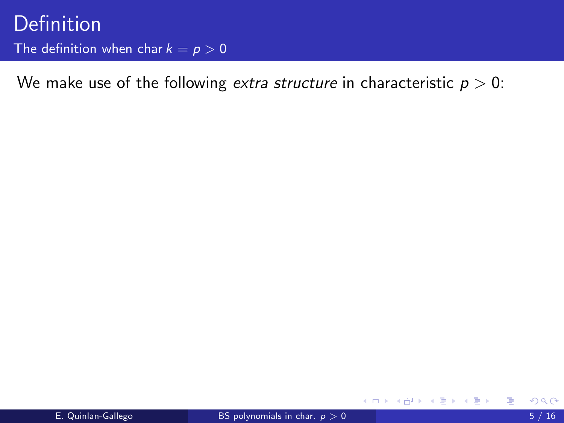◂**◻▸ ◂<del>⁄</del>** ▸

ExitEx

э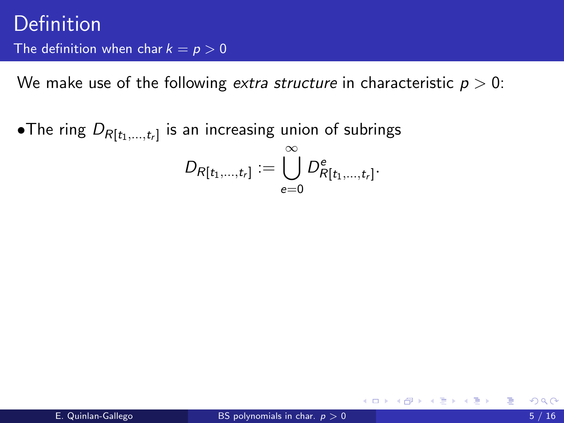$\bullet$ The ring  $D_{R[t_1,...,t_r]}$  is an increasing union of subrings  $D_{R[t_1,...,t_r]}:=\bigcup\limits^{\infty}$  $e=0$  $D^e_{R[t_1,\ldots,t_r]}.$ 

→ イラン イモン イモン 一毛

4 D F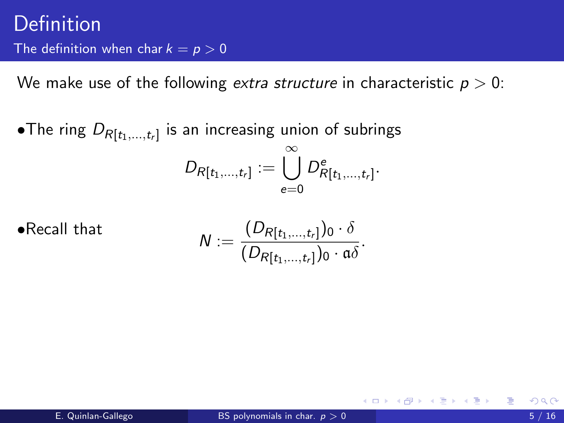$\bullet$ The ring  $D_{R[t_1,...,t_r]}$  is an increasing union of subrings  $D_{R[t_1,...,t_r]}:=\bigcup\limits^{\infty}$  $e=0$  $D^e_{R[t_1,\ldots,t_r]}.$ 

•Recall that

$$
N:=\frac{(D_{R[t_1,\ldots,t_r]})_0\cdot\delta}{(D_{R[t_1,\ldots,t_r]})_0\cdot\mathfrak{a}\delta}.
$$

→ (御) → 君) → 君) → 君

4 D F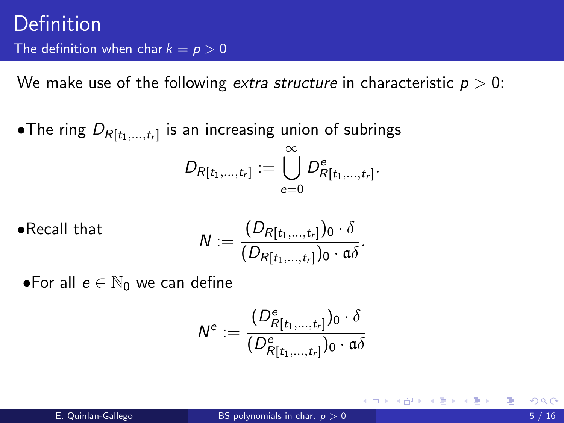$\bullet$ The ring  $D_{R[t_1,...,t_r]}$  is an increasing union of subrings  $D_{R[t_1,...,t_r]}:=\bigcup^{\infty}D^{\mathsf{e}}_{R[t_1,...,t_r]}.$  $e=0$ 

•**Recall that**  

$$
N := \frac{(D_{R[t_1,...,t_r]})_0 \cdot \delta}{(D_{R[t_1,...,t_r]})_0 \cdot \mathfrak{a} \delta}.
$$

•For all  $e \in \mathbb{N}_0$  we can define

$$
\mathcal{N}^e:=\frac{(\mathit{D}^e_{\mathit{R}[t_1,...,t_r]})_0\cdot \delta}{(\mathit{D}^e_{\mathit{R}[t_1,...,t_r]})_0\cdot \mathfrak{a}\delta}
$$

メ御 メメ きょく ヨメ 一番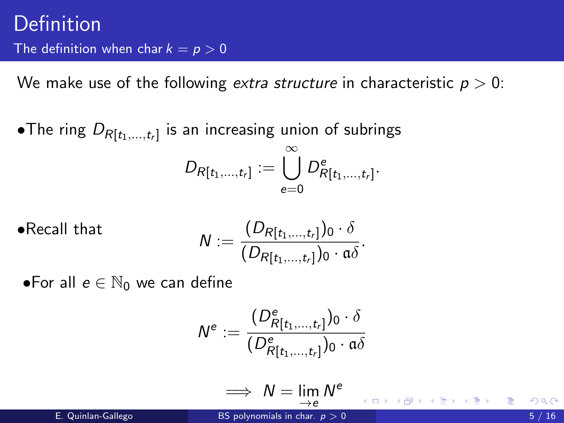$\bullet$ The ring  $D_{R[t_1,...,t_r]}$  is an increasing union of subrings  $D_{R[t_1,...,t_r]}:=\bigcup^{\infty}D^{\mathsf{e}}_{R[t_1,...,t_r]}.$  $e=0$ 

• Recall that 
$$
\mathsf{N} := \frac{(D_{R[t_1,\ldots,t_r]})_0 \cdot \delta}{(D_{R[t_1,\ldots,t_r]})_0 \cdot \mathfrak{a} \delta}.
$$

•For all  $e \in \mathbb{N}_0$  we can define

$$
N^e := \frac{(D^e_{R[t_1,\ldots,t_r]})_0 \cdot \delta}{(D^e_{R[t_1,\ldots,t_r]})_0 \cdot \mathfrak{a}\delta}
$$

$$
\implies N = \lim_{\rightarrow e} N^e
$$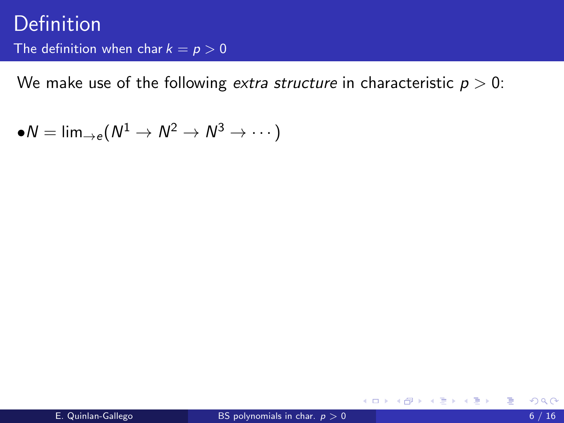We make use of the following *extra structure* in characteristic  $p > 0$ :

 $\bullet N=\textsf{lim}_{\rightarrow e}(N^{1}\rightarrow N^{2}\rightarrow N^{3}\rightarrow \cdots)$ 

画

イロト イ部 ト イヨ ト イヨ トー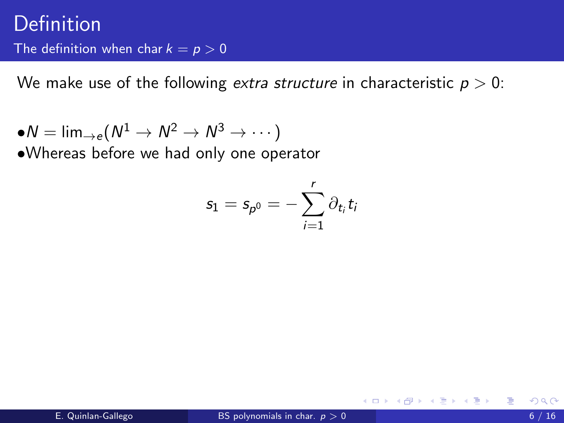$\bullet N=\textsf{lim}_{\rightarrow e}(N^{1}\rightarrow N^{2}\rightarrow N^{3}\rightarrow \cdots)$ •Whereas before we had only one operator

$$
s_1=s_{p^0}=-\sum_{i=1}^r\partial_{t_i}t_i
$$

4 0 8

ExitEx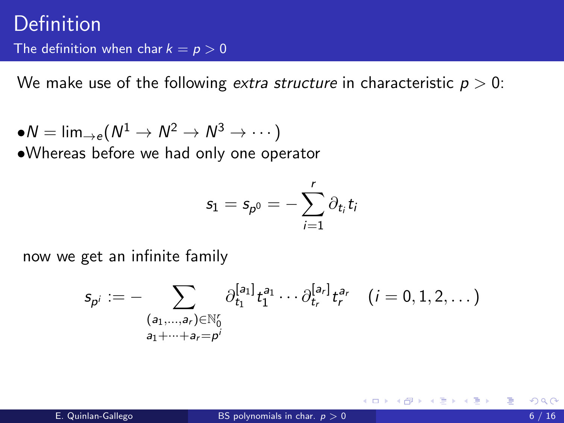$\bullet N=\textsf{lim}_{\rightarrow e}(N^{1}\rightarrow N^{2}\rightarrow N^{3}\rightarrow \cdots)$ •Whereas before we had only one operator

$$
s_1=s_{p^0}=-\sum_{i=1}^r\partial_{t_i}t_i
$$

now we get an infinite family

$$
s_{p^i} := - \sum_{\substack{(a_1,\ldots,a_r) \in \mathbb{N}_0^r\\ a_1 + \cdots + a_r = p^i}} \partial_{t_1}^{[a_1]} t_1^{a_1} \cdots \partial_{t_r}^{[a_r]} t_r^{a_r} \quad (i = 0, 1, 2, \ldots)
$$

4 0 8

ほうしゅほうしゃ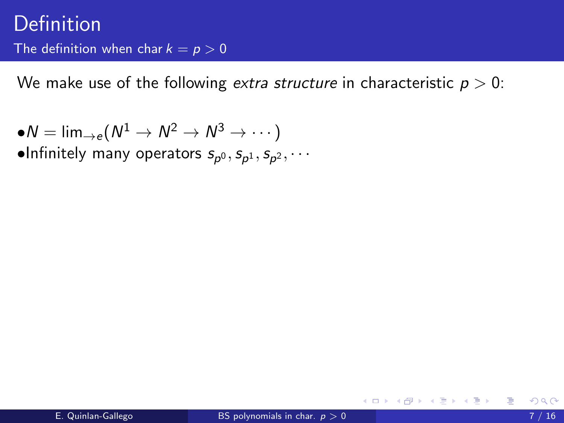$\bullet N=\textsf{lim}_{\rightarrow e}(N^{1}\rightarrow N^{2}\rightarrow N^{3}\rightarrow \cdots)$ 

 $\bullet$ Infinitely many operators  $s_{\rho^0}, s_{\rho^1}, s_{\rho^2}, \cdots$ 

4 0 8

- ④ → → ミ → → ミ → →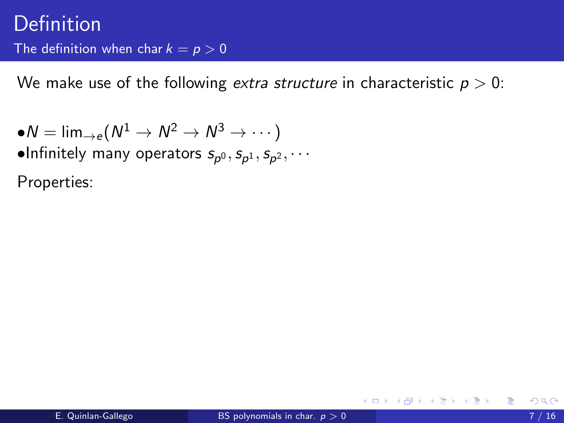$\bullet N=\textsf{lim}_{\rightarrow e}(N^{1}\rightarrow N^{2}\rightarrow N^{3}\rightarrow \cdots)$  $\bullet$ Infinitely many operators  $s_{\rho^0}, s_{\rho^1}, s_{\rho^2}, \cdots$ Properties: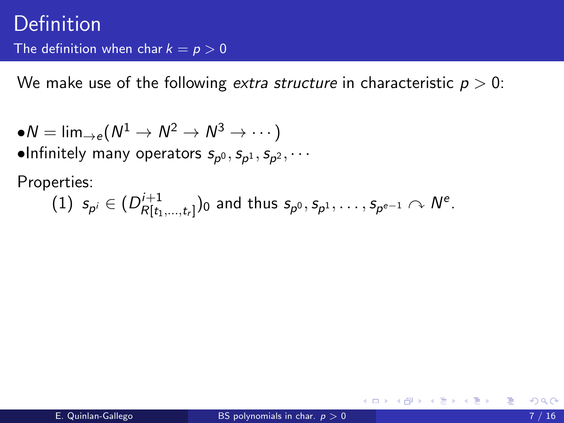$\bullet N=\textsf{lim}_{\rightarrow e}(N^{1}\rightarrow N^{2}\rightarrow N^{3}\rightarrow \cdots)$  $\bullet$ Infinitely many operators  $s_{\rho^0}, s_{\rho^1}, s_{\rho^2}, \cdots$ 

Properties:

(1) 
$$
s_{p^i} \in (D^{i+1}_{R[t_1,...,t_r]})_0
$$
 and thus  $s_{p^0}, s_{p^1},..., s_{p^{e-1}} \sim N^e$ .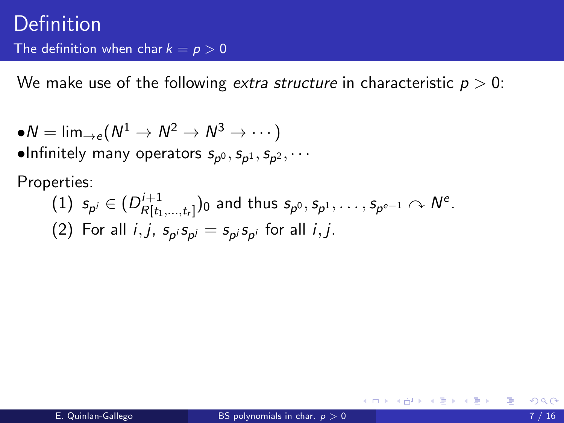$\bullet N=\textsf{lim}_{\rightarrow e}(N^{1}\rightarrow N^{2}\rightarrow N^{3}\rightarrow \cdots)$  $\bullet$ Infinitely many operators  $s_{\rho^0}, s_{\rho^1}, s_{\rho^2}, \cdots$ 

Properties:

(1) 
$$
s_{p^i} \in (D^{i+1}_{R[t_1,...,t_r]})_0
$$
 and thus  $s_{p^0}, s_{p^1}, \ldots, s_{p^{e-1}} \sim N^e$ .  
(2) For all *i*, *j*,  $s_{p^i} s_{p^j} = s_{p^j} s_{p^i}$  for all *i*, *j*.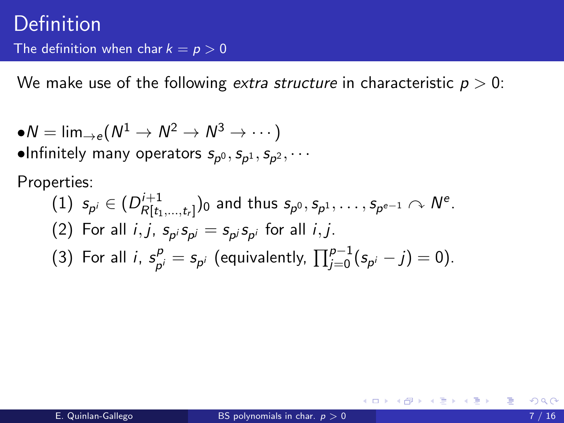$\bullet N=\textsf{lim}_{\rightarrow e}(N^{1}\rightarrow N^{2}\rightarrow N^{3}\rightarrow \cdots)$  $\bullet$ Infinitely many operators  $s_{\rho^0}, s_{\rho^1}, s_{\rho^2}, \cdots$ 

Properties:

\n- (1) 
$$
s_{p^i} \in (D^{i+1}_{R[t_1,\ldots,t_r]})_0
$$
 and thus  $s_{p^0}, s_{p^1}, \ldots, s_{p^{e-1}} \cap N^e$ .
\n- (2) For all  $i, j, s_{p^i}, s_{p^j} = s_{p^j}, s_{p^i}$  for all  $i, j$ .
\n- (3) For all  $i, s_{p^i}^p = s_{p^i}$  (equivalently,  $\prod_{j=0}^{p-1} (s_{p^i} - j) = 0$ ).
\n

→ イ母 ト イ ヨ ト イ ヨ ト …

4 D F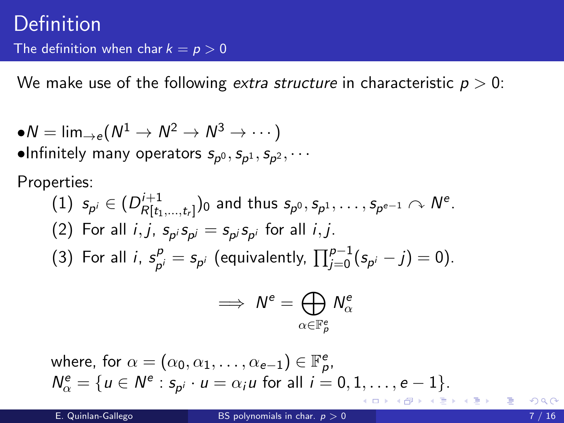$\bullet N=\textsf{lim}_{\rightarrow e}(N^{1}\rightarrow N^{2}\rightarrow N^{3}\rightarrow \cdots)$  $\bullet$ Infinitely many operators  $s_{\rho^0}, s_{\rho^1}, s_{\rho^2}, \cdots$ 

Properties:

\n- (1) 
$$
s_{p^i} \in (D^{i+1}_{R[t_1,\ldots,t_r]})_0
$$
 and thus  $s_{p^0}, s_{p^1}, \ldots, s_{p^{e-1}} \sim N^e$ .
\n- (2) For all  $i, j, s_{p^i} s_{p^j} = s_{p^j} s_{p^i}$  for all  $i, j$ .
\n- (3) For all  $i, s_{p^i}^p = s_{p^i}$  (equivalently,  $\prod_{j=0}^{p-1} (s_{p^i} - j) = 0$ ).
\n

$$
\implies \mathsf{N}^e = \bigoplus_{\alpha \in \mathbb{F}_p^e} \mathsf{N}^e_\alpha
$$

where, for  $\alpha = (\alpha_0, \alpha_1, \ldots, \alpha_{e-1}) \in \mathbb{F}_p^e$ ,  $N_{\alpha}^{\mathsf{e}} = \{u \in N^{\mathsf{e}} : s_{p^i} \cdot u = \alpha_i u \text{ for all } i = 0, 1, \ldots, \mathsf{e} - 1\}.$ イロメ イ部メ イ君メ イ君メート

造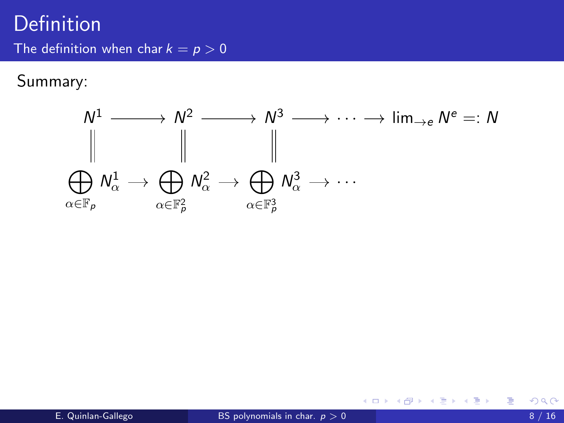Summary:



K ロ ▶ K 個 ▶ K 경 ▶ K 경 ▶ X 경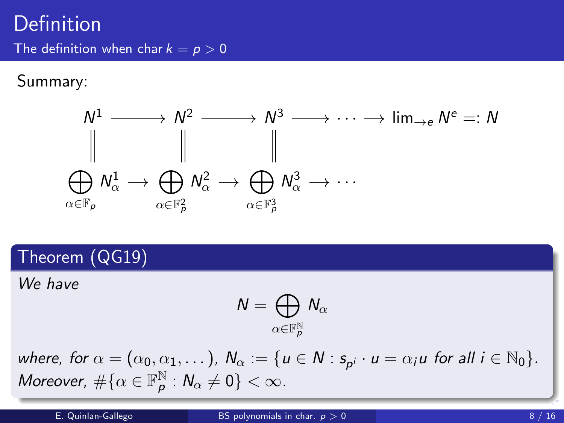Summary:



Theorem (QG19)

We have

$$
\mathsf{N}=\bigoplus_{\alpha\in\mathbb{F}_p^\mathbb{N}}\mathsf{N}_\alpha
$$

where, for  $\alpha = (\alpha_0, \alpha_1, \dots)$ ,  $N_\alpha := \{u \in N : s_{p^i} \cdot u = \alpha_i u$  for all  $i \in \mathbb{N}_0\}$ . Moreover,  $\#\{\alpha \in \mathbb{F}_p^{\mathbb{N}}\}$  $_{\mathsf{p}}^{\mathbb{N}}:\mathsf{N}_{\alpha}\neq0\}<\infty.$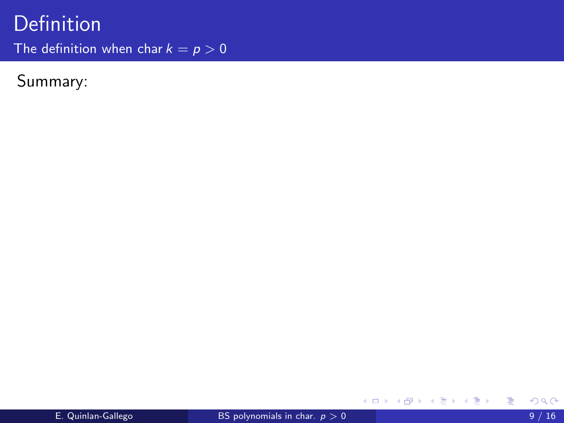# Definition

The definition when char  $k = p > 0$ 

Summary:

重

メロト メ都 トメ ヨ トメ ヨ ト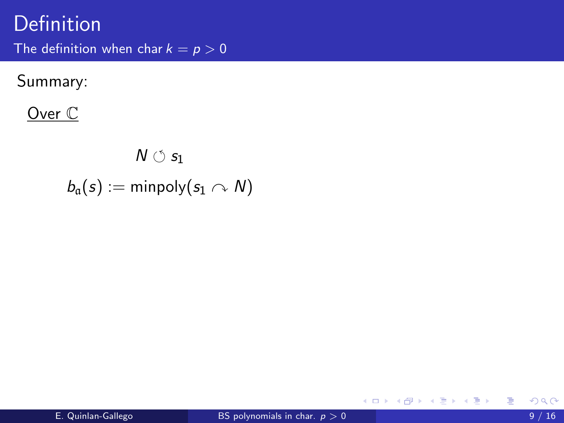Summary:

Over C

$$
N\circlearrowleft s_1\\ b_{\mathfrak{a}}(s):=\text{minpoly}(s_1\curvearrowright N)
$$

重

K ロ ⊁ K 個 ≯ K 君 ⊁ K 君 ≯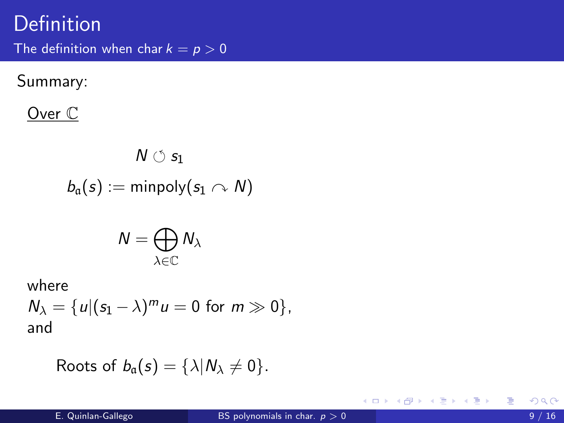Summary:

Over C

$$
\mathsf{N}\circlearrowleft s_1\\ b_{\mathfrak{a}}(s):=\mathsf{minpoly}(s_1\curvearrowright\mathsf{N})
$$

$$
N=\bigoplus_{\lambda\in\mathbb{C}}N_\lambda
$$

where

 $N_{\lambda} = \{u | (s_1 - \lambda)^m u = 0 \text{ for } m \gg 0\},\$ and

Roots of 
$$
b_{\alpha}(s) = \{\lambda | N_{\lambda} \neq 0\}.
$$

活

メロメ メ御 メメ きょくきょ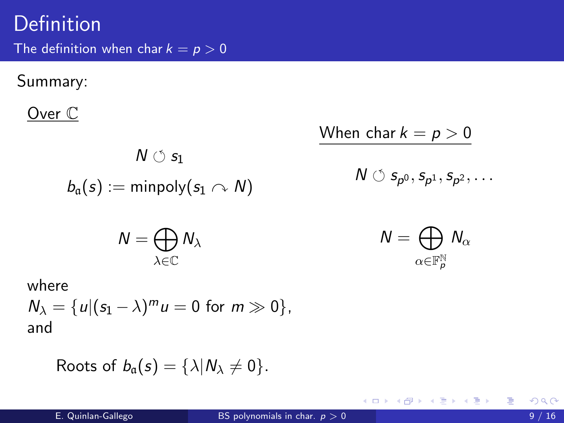Summary:

Over C

$$
\mathsf{N}\circlearrowleft s_1\\ b_{\mathfrak{a}}(s):=\mathsf{minpoly}(s_1\curvearrowright\mathsf{N})
$$

When char 
$$
k = p > 0
$$
  

$$
N \circ s_{p^0}, s_{p^1}, s_{p^2}, \dots
$$

$$
N=\bigoplus_{\lambda\in\mathbb{C}}N_\lambda
$$

$$
\mathsf{N}=\bigoplus_{\alpha\in\mathbb{F}_p^{\mathbb{N}}}\mathsf{N}_{\alpha}
$$

メロト メ都 トメ きょ メ きょう

where

 $N_{\lambda} = \{u | (s_1 - \lambda)^m u = 0 \text{ for } m \gg 0\},\$ and

Roots of 
$$
b_{\alpha}(s) = \{\lambda | N_{\lambda} \neq 0\}.
$$

活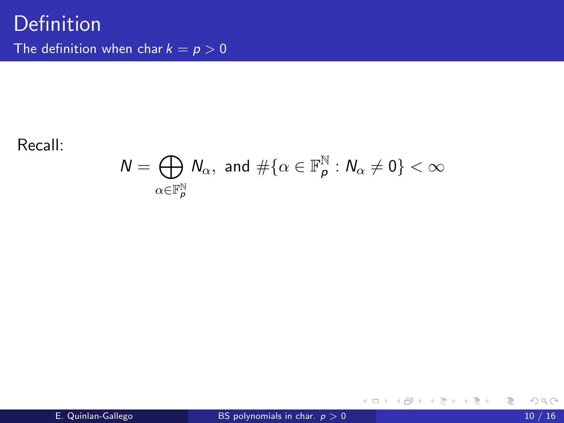#### Recall:

$$
\mathsf{N}=\bigoplus_{\alpha\in\mathbb{F}_p^\mathbb{N}}\mathsf{N}_\alpha, \text{ and } \#\{\alpha\in\mathbb{F}_p^\mathbb{N}: \mathsf{N}_\alpha\neq 0\}<\infty
$$

重

メロト メ都 トメ ヨ トメ ヨ ト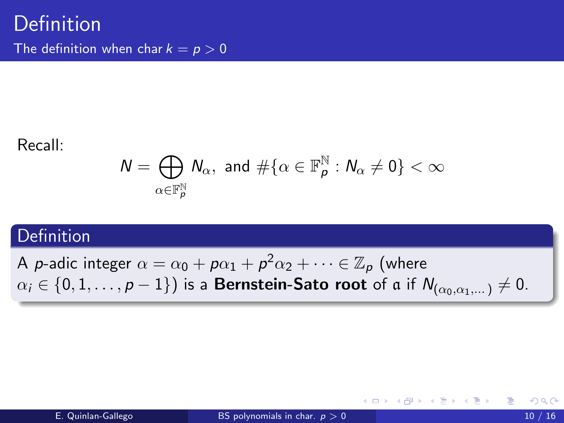#### Recall:

$$
\mathsf{N}=\bigoplus_{\alpha\in\mathbb{F}_p^\mathbb{N}}\mathsf{N}_\alpha, \text{ and } \#\{\alpha\in\mathbb{F}_p^\mathbb{N}: \mathsf{N}_\alpha\neq 0\}<\infty
$$

#### **Definition**

A  $p$ -adic integer  $\alpha=\alpha_0+\rho\alpha_1+\rho^2\alpha_2+\cdots\in\mathbb{Z}_p$  (where  $\alpha_i \in \{0, 1, \ldots, p-1\}$  is a **Bernstein-Sato root** of a if  $N_{(\alpha_0, \alpha_1, \ldots)} \neq 0$ .

イロト イ母 トイヨ トイヨト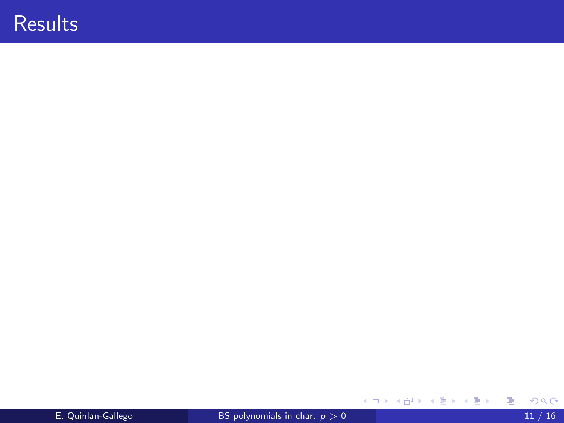Ε

メロトメ 御 トメ 君 トメ 君 ト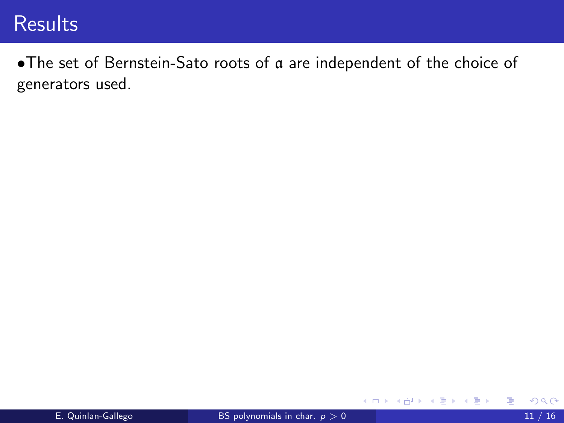•The set of Bernstein-Sato roots of a are independent of the choice of generators used.

4 0 8

→ 何 ▶

活

ExitEx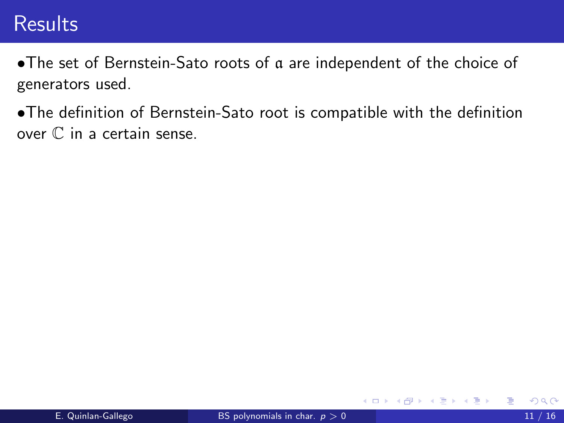- •The set of Bernstein-Sato roots of a are independent of the choice of generators used.
- •The definition of Bernstein-Sato root is compatible with the definition over C in a certain sense.

4 0 8

 $\rightarrow$   $\rightarrow$   $\rightarrow$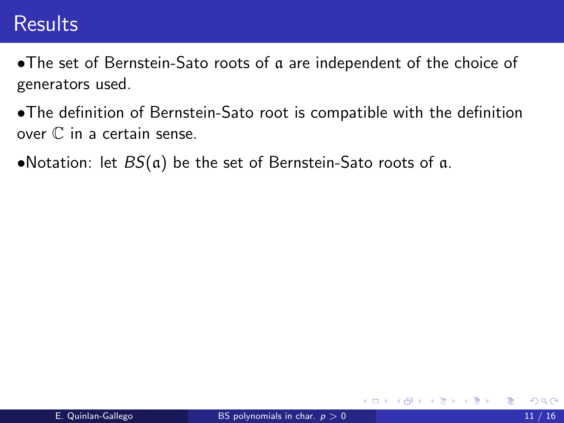- •The set of Bernstein-Sato roots of a are independent of the choice of generators used.
- •The definition of Bernstein-Sato root is compatible with the definition over C in a certain sense.
- •Notation: let  $BS(a)$  be the set of Bernstein-Sato roots of a.

4 0 8

- イ ヨ ト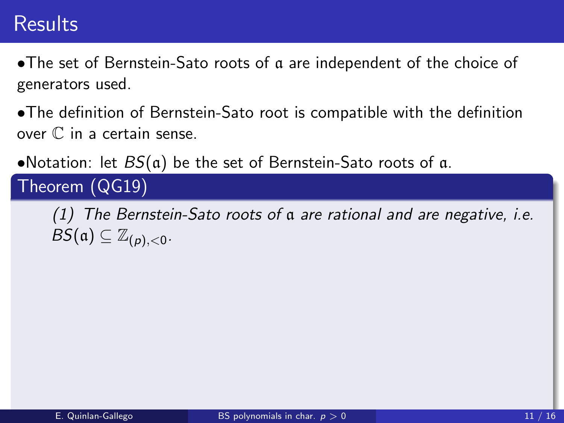•The set of Bernstein-Sato roots of a are independent of the choice of generators used.

•The definition of Bernstein-Sato root is compatible with the definition over C in a certain sense.

•Notation: let  $BS(a)$  be the set of Bernstein-Sato roots of a.

Theorem (QG19)

(1) The Bernstein-Sato roots of a are rational and are negative, i.e.  $BS(\mathfrak{a}) \subseteq \mathbb{Z}_{(p),<0}.$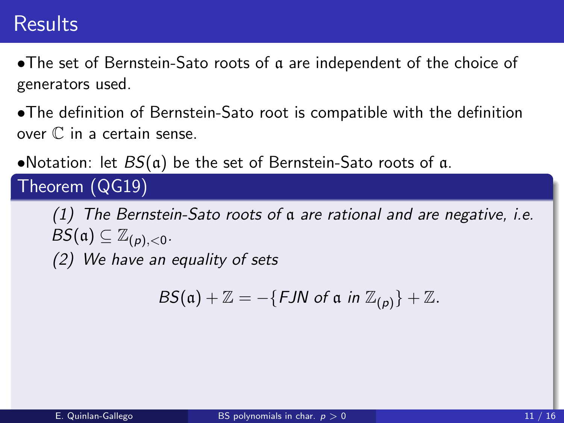•The set of Bernstein-Sato roots of a are independent of the choice of generators used.

•The definition of Bernstein-Sato root is compatible with the definition over C in a certain sense.

•Notation: let  $BS(a)$  be the set of Bernstein-Sato roots of a.

Theorem (QG19)

(1) The Bernstein-Sato roots of a are rational and are negative, i.e.  $BS(\mathfrak{a}) \subseteq \mathbb{Z}_{(p),<0}.$ (2) We have an equality of sets

$$
BS(\mathfrak{a}) + \mathbb{Z} = -\{FJN \text{ of } \mathfrak{a} \text{ in } \mathbb{Z}_{(p)}\} + \mathbb{Z}.
$$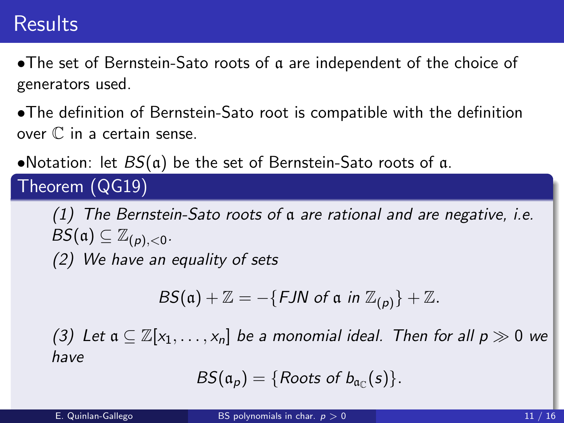•The set of Bernstein-Sato roots of a are independent of the choice of generators used.

•The definition of Bernstein-Sato root is compatible with the definition over C in a certain sense.

•Notation: let  $BS(a)$  be the set of Bernstein-Sato roots of a.

Theorem (QG19)

(1) The Bernstein-Sato roots of a are rational and are negative, i.e.  $BS(\mathfrak{a}) \subseteq \mathbb{Z}_{(p),<0}.$ (2) We have an equality of sets

$$
BS(\mathfrak{a}) + \mathbb{Z} = -\{FJN \text{ of } \mathfrak{a} \text{ in } \mathbb{Z}_{(p)}\} + \mathbb{Z}.
$$

(3) Let  $a \subseteq \mathbb{Z}[x_1,\ldots,x_n]$  be a monomial ideal. Then for all  $p \gg 0$  we have

$$
BS(\mathfrak{a}_p)=\{Roots\ of\ b_{\mathfrak{a}_\mathbb{C}}(s)\}.
$$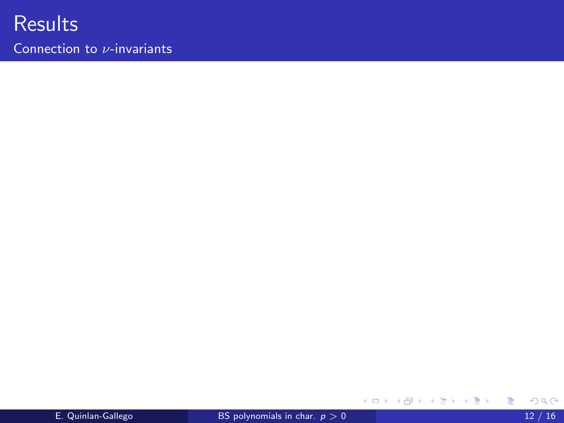

Connection to  $\nu$ -invariants

画

メロト メ都 トメ ミトメ ミト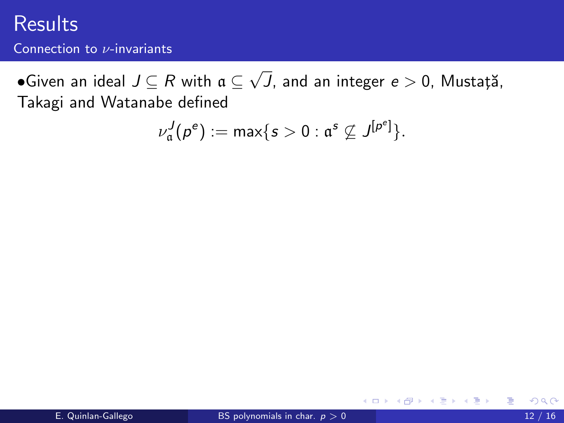Connection to ν-invariants

 $\bullet$ Given an ideal  $J \subseteq R$  with  $\mathfrak{a} \subseteq$ √  $J$ , and an integer  $e>0$ , Mustață, Takagi and Watanabe defined

$$
\nu^J_{\mathfrak{a}}(p^e):=\max\{s>0:\mathfrak{a}^s\nsubseteq J^{[p^e]}\}.
$$

4 0 8

 $\rightarrow$ 

ExitEx

÷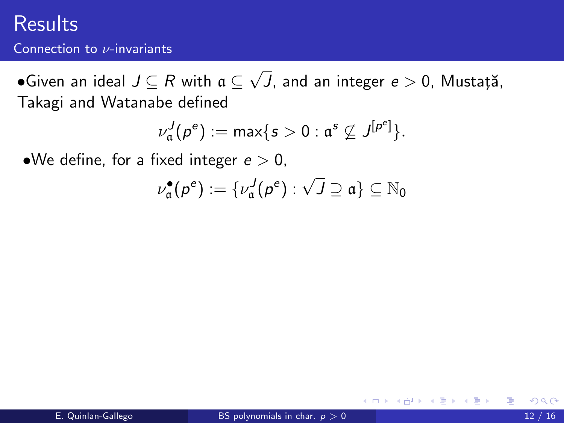#### Connection to  $\nu$ -invariants

 $\bullet$ Given an ideal  $J \subseteq R$  with  $\mathfrak{a} \subseteq$ √  $J$ , and an integer  $e>0$ , Mustață, Takagi and Watanabe defined

$$
\nu_{\mathfrak{a}}^J(p^e):=\max\{s>0:\mathfrak{a}^s\not\subseteq J^{[p^e]}\}.
$$

•We define, for a fixed integer  $e > 0$ ,

$$
\nu_{\mathfrak{a}}^{\bullet}(p^e):=\{\nu_{\mathfrak{a}}^J(p^e):\sqrt{J}\supseteq\mathfrak{a}\}\subseteq\mathbb{N}_0
$$

4 0 8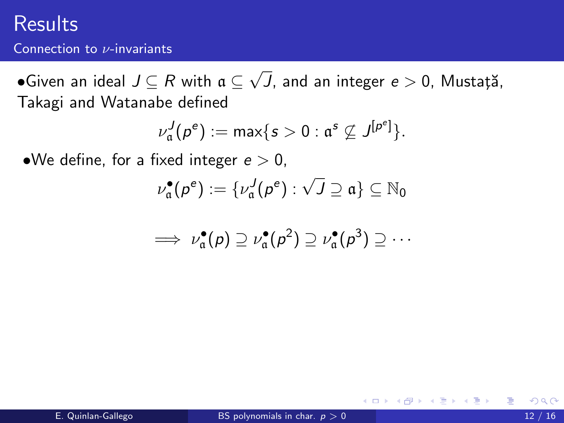#### Connection to  $\nu$ -invariants

 $\bullet$ Given an ideal  $J \subseteq R$  with  $\mathfrak{a} \subseteq$ √  $J$ , and an integer  $e>0$ , Mustață, Takagi and Watanabe defined

$$
\nu_{\mathfrak{a}}^J(p^e):=\max\{s>0:\mathfrak{a}^s\not\subseteq J^{[p^e]}\}.
$$

•We define, for a fixed integer  $e > 0$ ,

$$
\nu_{\mathfrak{a}}^{\bullet}(p^e):=\{\nu_{\mathfrak{a}}^J(p^e):\sqrt{J}\supseteq\mathfrak{a}\}\subseteq\mathbb{N}_0
$$

$$
\implies \nu_{\mathfrak{a}}^{\bullet}(p) \supseteq \nu_{\mathfrak{a}}^{\bullet}(p^2) \supseteq \nu_{\mathfrak{a}}^{\bullet}(p^3) \supseteq \cdots
$$

4 0 8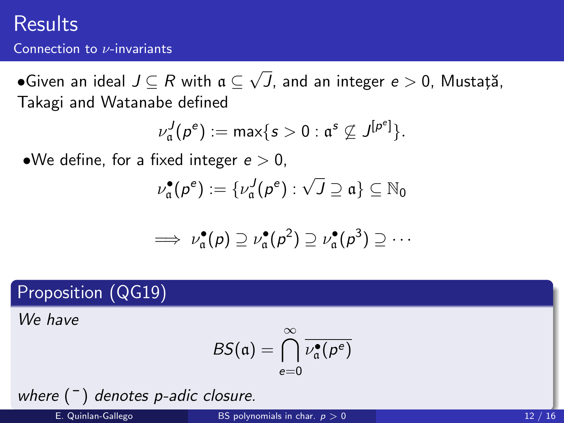#### Connection to  $\nu$ -invariants

 $\bullet$ Given an ideal  $J \subseteq R$  with  $\mathfrak{a} \subseteq$ √  $J$ , and an integer  $e>0$ , Mustață, Takagi and Watanabe defined

$$
\nu_{\mathfrak{a}}^J(p^e):=\max\{s>0:\mathfrak{a}^s\not\subseteq J^{[p^e]}\}.
$$

•We define, for a fixed integer  $e > 0$ ,

$$
\nu_{\mathfrak{a}}^{\bullet}(p^e):=\{\nu_{\mathfrak{a}}^J(p^e):\sqrt{J}\supseteq\mathfrak{a}\}\subseteq\mathbb{N}_0
$$

$$
\implies \nu_{\mathfrak{a}}^{\bullet}(p) \supseteq \nu_{\mathfrak{a}}^{\bullet}(p^2) \supseteq \nu_{\mathfrak{a}}^{\bullet}(p^3) \supseteq \cdots
$$

#### Proposition (QG19)

We have

$$
BS(\mathfrak{a}) = \bigcap_{e=0}^{\infty} \overline{\nu_{\mathfrak{a}}^{\bullet}(\rho^{e})}
$$

where  $(\bar{\ })$  denotes p-adic closure.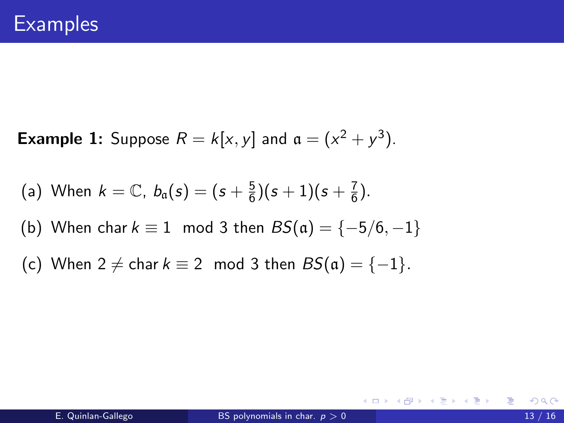**Example 1:** Suppose  $R = k[x, y]$  and  $a = (x^2 + y^3)$ .

(a) When 
$$
k = \mathbb{C}
$$
,  $b_{\mathfrak{a}}(s) = (s + \frac{5}{6})(s + 1)(s + \frac{7}{6})$ .

(b) When char 
$$
k \equiv 1 \mod 3
$$
 then  $BS(\mathfrak{a}) = \{-5/6, -1\}$ 

(c) When  $2 \neq$  char  $k \equiv 2 \mod 3$  then  $BS(\mathfrak{a}) = \{-1\}.$ 

造

K ロ ▶ K 倒 ▶ K 듣 ▶ K 듣 ▶ ...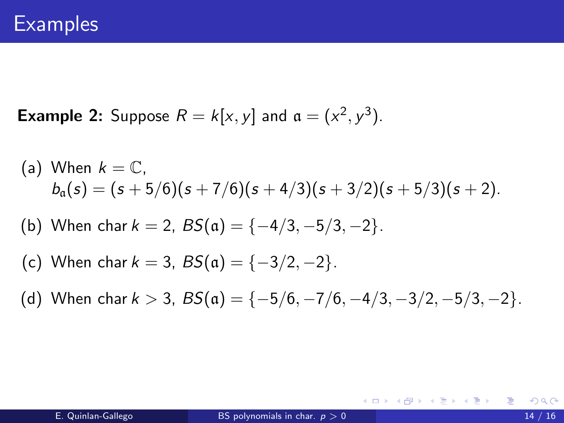**Example 2:** Suppose  $R = k[x, y]$  and  $a = (x^2, y^3)$ .

(a) When 
$$
k = \mathbb{C}
$$
,  
\n
$$
b_{\alpha}(s) = (s + 5/6)(s + 7/6)(s + 4/3)(s + 3/2)(s + 5/3)(s + 2).
$$

- (b) When char  $k = 2$ ,  $BS(\mathfrak{a}) = \{-4/3, -5/3, -2\}$ .
- (c) When char  $k = 3$ ,  $BS(\mathfrak{a}) = \{-3/2, -2\}$ .
- (d) When char  $k > 3$ ,  $BS(\mathfrak{a}) = \{-5/6, -7/6, -4/3, -3/2, -5/3, -2\}.$

イロト イ何 トイヨト イヨト ニヨー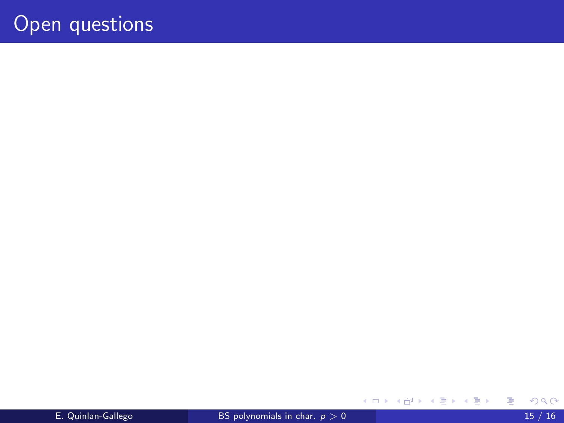重

メロト メ都 トメ ヨ トメ ヨ ト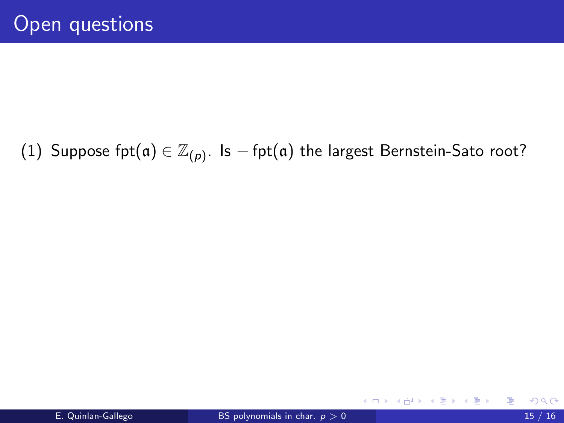# (1) Suppose fpt $(\mathfrak{a}) \in \mathbb{Z}_{(p)}.$  Is  $-\operatorname{\mathsf{fpt}}(\mathfrak{a})$  the largest Bernstein-Sato root?

造

→ ← 伊 ▶ → ( 后 )→ → ( 后 )→ →

4 D F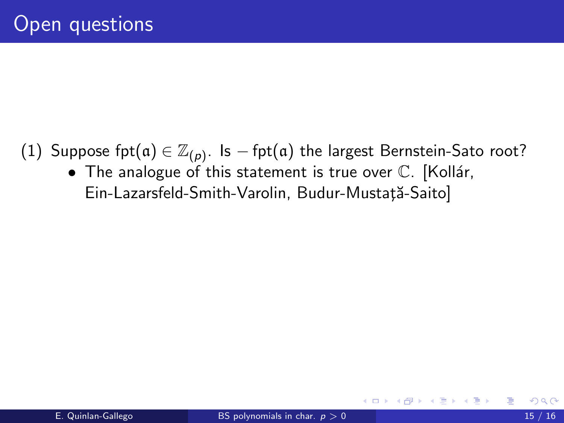- (1) Suppose fpt $(\mathfrak{a}) \in \mathbb{Z}_{(p)}.$  Is  $-\operatorname{\mathsf{fpt}}(\mathfrak{a})$  the largest Bernstein-Sato root?
	- $\bullet$  The analogue of this statement is true over  $\mathbb C$ . [Kollár, Ein-Lazarsfeld-Smith-Varolin, Budur-Mustață-Saito]

4 **D** F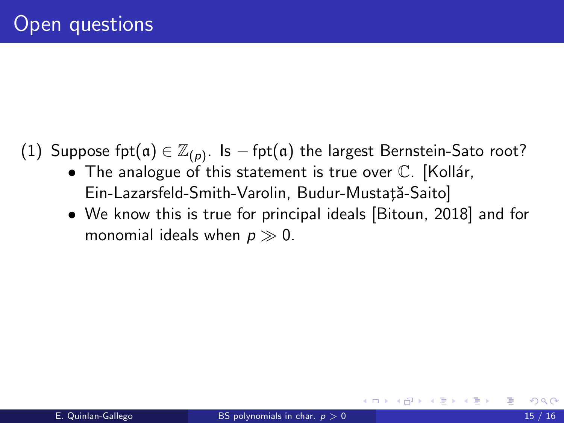- (1) Suppose fpt $(\mathfrak{a}) \in \mathbb{Z}_{(p)}.$  Is  $-\operatorname{\mathsf{fpt}}(\mathfrak{a})$  the largest Bernstein-Sato root?
	- The analogue of this statement is true over  $\mathbb C$ . [Kollár, Ein-Lazarsfeld-Smith-Varolin, Budur-Mustață-Saito]
	- We know this is true for principal ideals [Bitoun, 2018] and for monomial ideals when  $p \gg 0$ .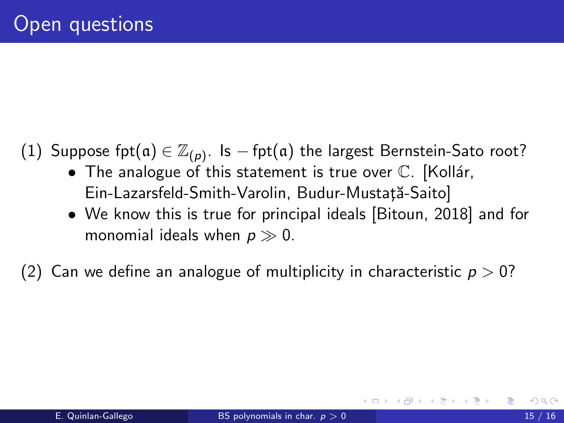- (1) Suppose fpt $(\mathfrak{a}) \in \mathbb{Z}_{(p)}.$  Is  $-\operatorname{\mathsf{fpt}}(\mathfrak{a})$  the largest Bernstein-Sato root?
	- The analogue of this statement is true over  $\mathbb C$ . [Kollár, Ein-Lazarsfeld-Smith-Varolin, Budur-Mustată-Saito]
	- We know this is true for principal ideals [Bitoun, 2018] and for monomial ideals when  $p \gg 0$ .

(2) Can we define an analogue of multiplicity in characteristic  $p > 0$ ?